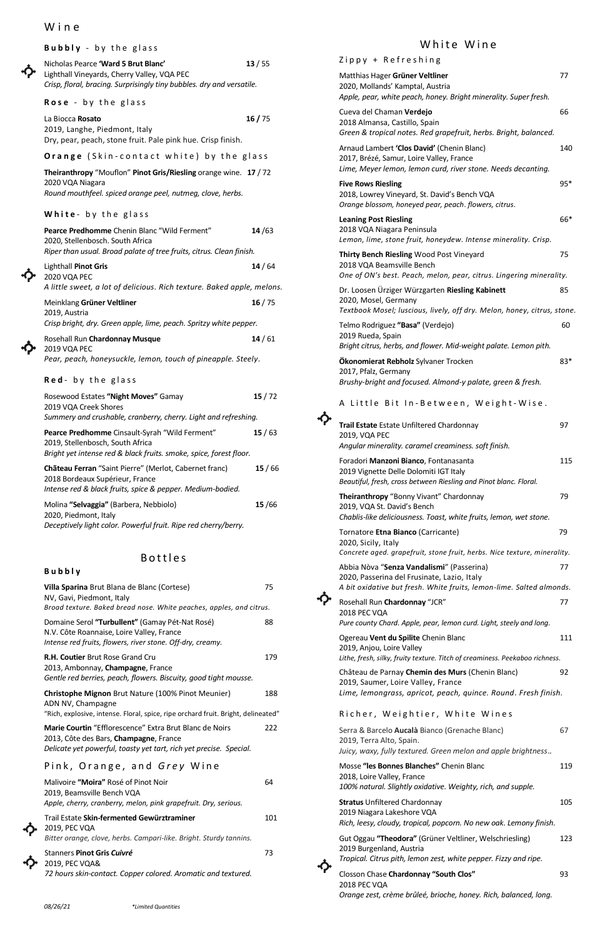*08/26/21 \*Limited Quantities*

## W i n e

|  | Bubbly - by the glass                                                                                                            |       |                                                   |  |  |  |
|--|----------------------------------------------------------------------------------------------------------------------------------|-------|---------------------------------------------------|--|--|--|
|  | Nicholas Pearce 'Ward 5 Brut Blanc'<br>Lighthall Vineyards, Cherry Valley, VQA PEC                                               | 13/55 | $Zippy +$<br>Matthias Ha                          |  |  |  |
|  | Crisp, floral, bracing. Surprisingly tiny bubbles. dry and versatile.                                                            |       |                                                   |  |  |  |
|  | Rose - by the glass                                                                                                              |       | Apple, pear,<br>Cueva del C                       |  |  |  |
|  | La Biocca Rosato<br>2019, Langhe, Piedmont, Italy<br>Dry, pear, peach, stone fruit. Pale pink hue. Crisp finish.                 | 16/75 | 2018 Alman<br>Green & tro                         |  |  |  |
|  | Orange (Skin-contact white) by the glass                                                                                         |       | Arnaud Lam<br>2017, Brézé                         |  |  |  |
|  | Theiranthropy "Mouflon" Pinot Gris/Riesling orange wine. 17 / 72                                                                 |       |                                                   |  |  |  |
|  | 2020 VQA Niagara<br>Round mouthfeel. spiced orange peel, nutmeg, clove, herbs.                                                   |       | <b>Five Rows R</b><br>2018, Lowre<br>Orange blos. |  |  |  |
|  | White- by the glass                                                                                                              |       | <b>Leaning Pos</b>                                |  |  |  |
|  | Pearce Predhomme Chenin Blanc "Wild Ferment"<br>2020, Stellenbosch. South Africa                                                 | 14/63 | 2018 VQA N<br>Lemon, lime                         |  |  |  |
|  | Riper than usual. Broad palate of tree fruits, citrus. Clean finish.                                                             |       | <b>Thirty Benc</b>                                |  |  |  |
|  | Lighthall Pinot Gris<br>2020 VQA PEC                                                                                             | 14/64 | 2018 VQA B<br>One of ON's                         |  |  |  |
|  | A little sweet, a lot of delicious. Rich texture. Baked apple, melons.                                                           |       | Dr. Loosen<br>2020, Mose                          |  |  |  |
|  | Meinklang Grüner Veltliner<br>2019, Austria                                                                                      | 16/75 | Textbook M                                        |  |  |  |
|  | Crisp bright, dry. Green apple, lime, peach. Spritzy white pepper.                                                               |       | Telmo Rodri                                       |  |  |  |
|  | Rosehall Run Chardonnay Musque<br>2019 VQA PEC                                                                                   | 14/61 | 2019 Rueda<br><b>Bright citrus</b>                |  |  |  |
|  | Pear, peach, honeysuckle, lemon, touch of pineapple. Steely.<br>Red- by the glass                                                |       | Ökonomiera<br>2017, Pfalz,                        |  |  |  |
|  |                                                                                                                                  |       | Brushy-brig                                       |  |  |  |
|  | Rosewood Estates "Night Moves" Gamay<br>2019 VQA Creek Shores<br>Summery and crushable, cranberry, cherry. Light and refreshing. | 15/72 | A Little                                          |  |  |  |
|  | Pearce Predhomme Cinsault-Syrah "Wild Ferment"                                                                                   | 15/63 | <b>Trail Estate</b><br>2019, VQA F                |  |  |  |
|  | 2019, Stellenbosch, South Africa<br>Bright yet intense red & black fruits. smoke, spice, forest floor.                           |       | Angular min                                       |  |  |  |
|  | Chäteau Ferran "Saint Pierre" (Merlot, Cabernet franc)<br>2018 Bordeaux Supérieur, France                                        | 15/66 | Foradori Ma<br>2019 Vignet<br>Beautiful, fre      |  |  |  |
|  | Intense red & black fruits, spice & pepper. Medium-bodied.                                                                       |       | Theiranthro                                       |  |  |  |
|  | Molina "Selvaggia" (Barbera, Nebbiolo)<br>2020, Piedmont, Italy                                                                  | 15/66 | 2019, VQA S<br>Chablis-like                       |  |  |  |
|  | Deceptively light color. Powerful fruit. Ripe red cherry/berry.                                                                  |       | Tornatore E<br>2020, Sicily<br>Concrete ag        |  |  |  |
|  | <b>Bottles</b>                                                                                                                   |       | Abbia Nòva                                        |  |  |  |
|  | Bubbly<br>Villa Sparina Brut Blana de Blanc (Cortese)                                                                            | 75    | 2020, Passe<br>A bit oxidat                       |  |  |  |
|  | NV, Gavi, Piedmont, Italy<br>Broad texture. Baked bread nose. White peaches, apples, and citrus.                                 |       | Rosehall Rui<br>2018 PEC VO                       |  |  |  |
|  | Domaine Serol "Turbullent" (Gamay Pét-Nat Rosé)<br>N.V. Côte Roannaise, Loire Valley, France                                     | 88    | Pure county<br>$O_{20}$ $O_{20}$ $O_{20}$         |  |  |  |

## White Wine

*Intense red fruits, flowers, river stone. Off-dry, creamy.*

2013, Ambonnay, **Champagne**, France

*Gentle red berries, peach, flowers. Biscuity, good tight mousse.*

**R.H. Coutier** Brut Rose Grand Cru 179

**Christophe Mignon** Brut Nature (100% Pinot Meunier) 188 ADN NV, Champagne

"Rich, explosive, intense. Floral, spice, ripe orchard fruit. Bright, delineated"

**Marie Courtin** "Efflorescence" Extra Brut Blanc de Noirs 222 2013, Côte des Bars, **Champagne**, France *Delicate yet powerful, toasty yet tart, rich yet precise. Special.*

## Pink, Orange, and *Grey* Wine

Malivoire **"Moira"** Rosé of Pinot Noir 64 2019, Beamsville Bench VQA *Apple, cherry, cranberry, melon, pink grapefruit. Dry, serious.*

↔

Trail Estate **Skin-fermented Gewürztraminer** 101 2019, PEC VQA

*Bitter orange, clove, herbs. Campari-like. Bright. Sturdy tannins.*



Stanners **Pinot Gris** *Cuivré* 73 2019, PEC VQA&

*72 hours skin-contact. Copper colored. Aromatic and textured.*

| Linic, ichiongruss, uphoti, peuch, quince. nounu. Hesii jimsin.                                                                                         |     |  |  |  |
|---------------------------------------------------------------------------------------------------------------------------------------------------------|-----|--|--|--|
| Richer, Weightier, White Wines                                                                                                                          |     |  |  |  |
| Serra & Barcelo Aucalà Bianco (Grenache Blanc)<br>2019, Terra Alto, Spain.<br>Juicy, waxy, fully textured. Green melon and apple brightness             | 67  |  |  |  |
| Mosse "les Bonnes Blanches" Chenin Blanc<br>2018, Loire Valley, France<br>100% natural. Slightly oxidative. Weighty, rich, and supple.                  | 119 |  |  |  |
| <b>Stratus Unfiltered Chardonnay</b><br>2019 Niagara Lakeshore VQA<br>Rich, leesy, cloudy, tropical, popcorn. No new oak. Lemony finish.                | 105 |  |  |  |
| Gut Oggau "Theodora" (Grüner Veltliner, Welschriesling)<br>2019 Burgenland, Austria<br>Tropical. Citrus pith, lemon zest, white pepper. Fizzy and ripe. | 123 |  |  |  |
| Closson Chase Chardonnay "South Clos"<br>2018 PEC VQA<br>Orange zest, crème brûleé, brioche, honey. Rich, balanced, long.                               | 93  |  |  |  |

| Zippy + Refreshing                                                                                                                                               |       |
|------------------------------------------------------------------------------------------------------------------------------------------------------------------|-------|
| Matthias Hager Grüner Veltliner<br>2020, Mollands' Kamptal, Austria<br>Apple, pear, white peach, honey. Bright minerality. Super fresh.                          | 77    |
| Cueva del Chaman Verdejo<br>2018 Almansa, Castillo, Spain<br>Green & tropical notes. Red grapefruit, herbs. Bright, balanced.                                    | 66    |
| Arnaud Lambert 'Clos David' (Chenin Blanc)<br>2017, Brézé, Samur, Loire Valley, France<br>Lime, Meyer lemon, lemon curd, river stone. Needs decanting.           | 140   |
| <b>Five Rows Riesling</b><br>2018, Lowrey Vineyard, St. David's Bench VQA<br>Orange blossom, honeyed pear, peach. flowers, citrus.                               | $95*$ |
| <b>Leaning Post Riesling</b><br>2018 VQA Niagara Peninsula<br>Lemon, lime, stone fruit, honeydew. Intense minerality. Crisp.                                     | 66*   |
| Thirty Bench Riesling Wood Post Vineyard<br>2018 VQA Beamsville Bench<br>One of ON's best. Peach, melon, pear, citrus. Lingering minerality.                     | 75    |
| Dr. Loosen Ürziger Würzgarten Riesling Kabinett<br>2020, Mosel, Germany<br>Textbook Mosel; luscious, lively, off dry. Melon, honey, citrus, stone.               | 85    |
| Telmo Rodriguez "Basa" (Verdejo)<br>2019 Rueda, Spain<br>Bright citrus, herbs, and flower. Mid-weight palate. Lemon pith.                                        | 60    |
| Ökonomierat Rebholz Sylvaner Trocken<br>2017, Pfalz, Germany<br>Brushy-bright and focused. Almond-y palate, green & fresh.                                       | 83*   |
| A Little Bit In-Between, Weight-Wise.                                                                                                                            |       |
| Trail Estate Estate Unfiltered Chardonnay<br>2019, VQA PEC<br>Angular minerality. caramel creaminess. soft finish.                                               | 97    |
| Foradori Manzoni Bianco, Fontanasanta<br>2019 Vignette Delle Dolomiti IGT Italy<br>Beautiful, fresh, cross between Riesling and Pinot blanc. Floral.             | 115   |
| Theiranthropy "Bonny Vivant" Chardonnay<br>2019, VQA St. David's Bench<br>Chablis-like deliciousness. Toast, white fruits, lemon, wet stone.                     | 79    |
| Tornatore Etna Bianco (Carricante)<br>2020, Sicily, Italy<br>Concrete aged. grapefruit, stone fruit, herbs. Nice texture, minerality.                            | 79    |
| Abbia Nòva "Senza Vandalismi" (Passerina)<br>2020, Passerina del Frusinate, Lazio, Italy<br>A bit oxidative but fresh. White fruits, lemon-lime. Salted almonds. | 77    |
| Rosehall Run Chardonnay "JCR"<br>2018 PEC VQA<br>Pure county Chard. Apple, pear, lemon curd. Light, steely and long.                                             | 77    |
| Ogereau Vent du Spilite Chenin Blanc<br>2019, Anjou, Loire Valley<br>Lithe, fresh, silky, fruity texture. Titch of creaminess. Peekaboo richness.                | 111   |
| Château de Parnay Chemin des Murs (Chenin Blanc)<br>2019, Saumer, Loire Valley, France                                                                           | 92    |

|  | Lime, lemongrass, apricot, peach, quince. Round. Fresh finish. |  |  |  |  |  |  |
|--|----------------------------------------------------------------|--|--|--|--|--|--|
|--|----------------------------------------------------------------|--|--|--|--|--|--|